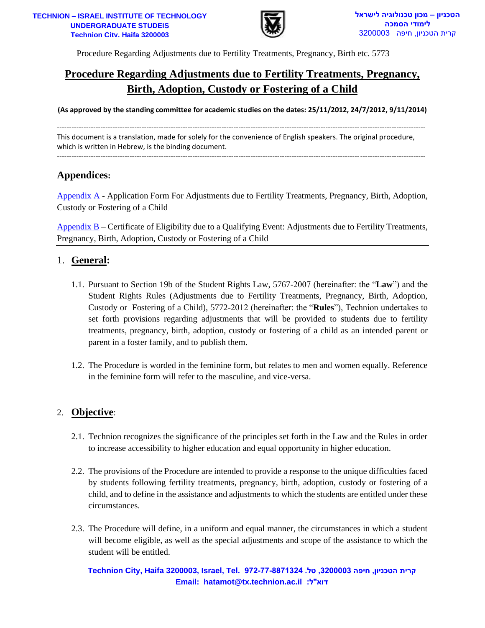

# **Procedure Regarding Adjustments due to Fertility Treatments, Pregnancy, Birth, Adoption, Custody or Fostering of a Child**

**(As approved by the standing committee for academic studies on the dates: 25/11/2012, 24/7/2012, 9/11/2014)**

This document is a translation, made for solely for the convenience of English speakers. The original procedure, which is written in Hebrew, is the binding document.

--------------------------------------------------------------------------------------------------------------------------------------------------------

# **Appendices:**

[Appendix A](#page-10-0) - Application Form For Adjustments due to Fertility Treatments, Pregnancy, Birth, Adoption, Custody or Fostering of a Child

[Appendix B](#page-13-0) – Certificate of Eligibility due to a Qualifying Event: Adjustments due to Fertility Treatments, Pregnancy, Birth, Adoption, Custody or Fostering of a Child

#### 1. **General:**

- **EXERENT PROPER THE SET AND THE SET AND THE SET AND THE SET AND THE SET AND THE SET AND THE SET AND THE SET AND MONETATION CONSULTED AND THE SET AND MONETATION CONSULTED AND AND THE SET AND MONETATION CONSULTED AND CONSULT** 1.1. Pursuant to Section 19b of the Student Rights Law, 5767-2007 (hereinafter: the "**Law**") and the Student Rights Rules (Adjustments due to Fertility Treatments, Pregnancy, Birth, Adoption, Custody or Fostering of a Child), 5772-2012 (hereinafter: the "**Rules**"), Technion undertakes to set forth provisions regarding adjustments that will be provided to students due to fertility treatments, pregnancy, birth, adoption, custody or fostering of a child as an intended parent or parent in a foster family, and to publish them.
- 1.2. The Procedure is worded in the feminine form, but relates to men and women equally. Reference in the feminine form will refer to the masculine, and vice-versa.

## 2. **Objective**:

- 2.1. Technion recognizes the significance of the principles set forth in the Law and the Rules in order to increase accessibility to higher education and equal opportunity in higher education.
- 2.2. The provisions of the Procedure are intended to provide a response to the unique difficulties faced by students following fertility treatments, pregnancy, birth, adoption, custody or fostering of a child, and to define in the assistance and adjustments to which the students are entitled under these circumstances.
- 2.3. The Procedure will define, in a uniform and equal manner, the circumstances in which a student will become eligible, as well as the special adjustments and scope of the assistance to which the student will be entitled.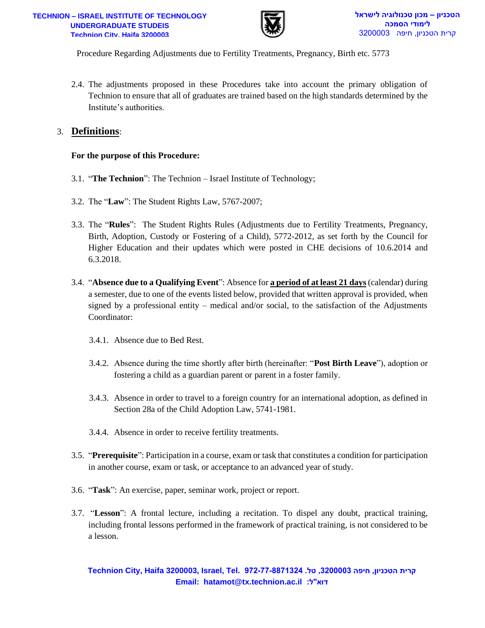

2.4. The adjustments proposed in these Procedures take into account the primary obligation of Technion to ensure that all of graduates are trained based on the high standards determined by the Institute's authorities.

#### 3. **Definitions**:

#### **For the purpose of this Procedure:**

- 3.1. "**The Technion**": The Technion Israel Institute of Technology;
- 3.2. The "**Law**": The Student Rights Law, 5767-2007;
- **Email: hatamot@tx.technion.ac.il :ל"דוא**  3.3. The "**Rules**": The Student Rights Rules (Adjustments due to Fertility Treatments, Pregnancy, Birth, Adoption, Custody or Fostering of a Child), 5772-2012, as set forth by the Council for Higher Education and their updates which were posted in CHE decisions of 10.6.2014 and 6.3.2018.
- 3.4. "**Absence due to a Qualifying Event**": Absence for **a period of at least 21 days**(calendar) during a semester, due to one of the events listed below, provided that written approval is provided, when signed by a professional entity – medical and/or social, to the satisfaction of the Adjustments Coordinator:
	- 3.4.1. Absence due to Bed Rest.
	- 3.4.2. Absence during the time shortly after birth (hereinafter: "**Post Birth Leave**"), adoption or fostering a child as a guardian parent or parent in a foster family.
	- 3.4.3. Absence in order to travel to a foreign country for an international adoption, as defined in Section 28a of the Child Adoption Law, 5741-1981.
	- 3.4.4. Absence in order to receive fertility treatments.
- 3.5. "**Prerequisite**": Participation in a course, exam or task that constitutes a condition for participation in another course, exam or task, or acceptance to an advanced year of study.
- 3.6. "**Task**": An exercise, paper, seminar work, project or report.
- 3.7. "**Lesson**": A frontal lecture, including a recitation. To dispel any doubt, practical training, including frontal lessons performed in the framework of practical training, is not considered to be a lesson.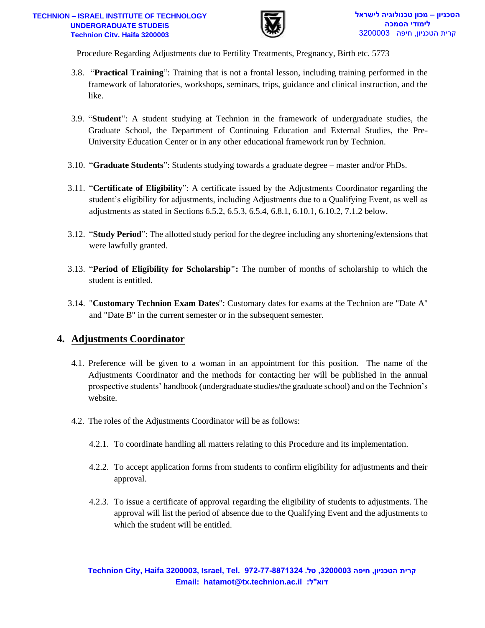

- 3.8. "**Practical Training**": Training that is not a frontal lesson, including training performed in the framework of laboratories, workshops, seminars, trips, guidance and clinical instruction, and the like.
- 3.9. "**Student**": A student studying at Technion in the framework of undergraduate studies, the Graduate School, the Department of Continuing Education and External Studies, the Pre-University Education Center or in any other educational framework run by Technion.
- 3.10. "**Graduate Students**": Students studying towards a graduate degree master and/or PhDs.
- 3.11. "**Certificate of Eligibility**": A certificate issued by the Adjustments Coordinator regarding the student's eligibility for adjustments, including Adjustments due to a Qualifying Event, as well as adjustments as stated in Sections 6.5.2, 6.5.3, 6.5.4, 6.8.1, 6.10.1, 6.10.2, 7.1.2 below.
- 3.12. "**Study Period**": The allotted study period for the degree including any shortening/extensions that were lawfully granted.
- 3.13. "**Period of Eligibility for Scholarship":** The number of months of scholarship to which the student is entitled.
- 3.14. "**Customary Technion Exam Dates**": Customary dates for exams at the Technion are "Date A" and "Date B" in the current semester or in the subsequent semester.

# **4. Adjustments Coordinator**

- **EXERENT PRODUCED**<br> **EMBED**<br> **EMALL TRONG THE CONSULTS (CONSULTS)**<br> **EMALL TRONG THE CONSULTS (CONSULTS)**<br> **EMALL TRONG THE CONSULTS (CONSULTS)**<br> **EXERCUTED**<br> **EXERCUTED**<br> **EXERCUTED**<br> **EXERCUTED**<br> **EXERCUTED**<br> **EXERCUTED** 4.1. Preference will be given to a woman in an appointment for this position. The name of the Adjustments Coordinator and the methods for contacting her will be published in the annual prospective students' handbook (undergraduate studies/the graduate school) and on the Technion's website.
- 4.2. The roles of the Adjustments Coordinator will be as follows:
	- 4.2.1. To coordinate handling all matters relating to this Procedure and its implementation.
	- 4.2.2. To accept application forms from students to confirm eligibility for adjustments and their approval.
	- 4.2.3. To issue a certificate of approval regarding the eligibility of students to adjustments. The approval will list the period of absence due to the Qualifying Event and the adjustments to which the student will be entitled.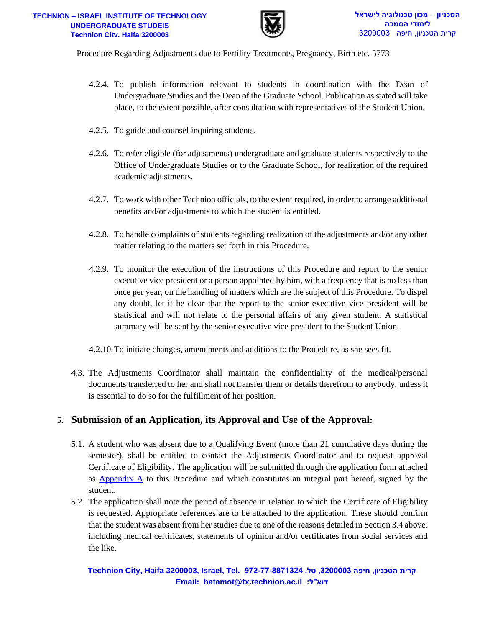

- 4.2.4. To publish information relevant to students in coordination with the Dean of Undergraduate Studies and the Dean of the Graduate School. Publication as stated will take place, to the extent possible, after consultation with representatives of the Student Union.
- 4.2.5. To guide and counsel inquiring students.
- 4.2.6. To refer eligible (for adjustments) undergraduate and graduate students respectively to the Office of Undergraduate Studies or to the Graduate School, for realization of the required academic adjustments.
- 4.2.7. To work with other Technion officials, to the extent required, in order to arrange additional benefits and/or adjustments to which the student is entitled.
- 4.2.8. To handle complaints of students regarding realization of the adjustments and/or any other matter relating to the matters set forth in this Procedure.
- **EXERECTS 2000029**<br> **EMBED**<br> **EMBED**<br> **EMBED**<br> **EMBED**<br> **EMBED**<br> **EMBED**<br> **EMBED**<br> **EMBED**<br> **EMBED**<br> **EMBED**<br> **EMBED**<br> **EMBED**<br> **EMBED**<br> **EMBED**<br> **EMBED**<br> **EMBED**<br> **EMBED**<br> **EMBED**<br> **EMBED**<br> **EMBED**<br> **EMBED**<br> **EXECTS**<br> **EX** 4.2.9. To monitor the execution of the instructions of this Procedure and report to the senior executive vice president or a person appointed by him, with a frequency that is no less than once per year, on the handling of matters which are the subject of this Procedure. To dispel any doubt, let it be clear that the report to the senior executive vice president will be statistical and will not relate to the personal affairs of any given student. A statistical summary will be sent by the senior executive vice president to the Student Union.
- 4.2.10.To initiate changes, amendments and additions to the Procedure, as she sees fit.
- 4.3. The Adjustments Coordinator shall maintain the confidentiality of the medical/personal documents transferred to her and shall not transfer them or details therefrom to anybody, unless it is essential to do so for the fulfillment of her position.

#### 5. **Submission of an Application, its Approval and Use of the Approval:**

- 5.1. A student who was absent due to a Qualifying Event (more than 21 cumulative days during the semester), shall be entitled to contact the Adjustments Coordinator and to request approval Certificate of Eligibility. The application will be submitted through the application form attached as  $\Delta$ ppendix  $\Delta$  to this Procedure and which constitutes an integral part hereof, signed by the student.
- 5.2. The application shall note the period of absence in relation to which the Certificate of Eligibility is requested. Appropriate references are to be attached to the application. These should confirm that the student was absent from her studies due to one of the reasons detailed in Section 3.4 above, including medical certificates, statements of opinion and/or certificates from social services and the like.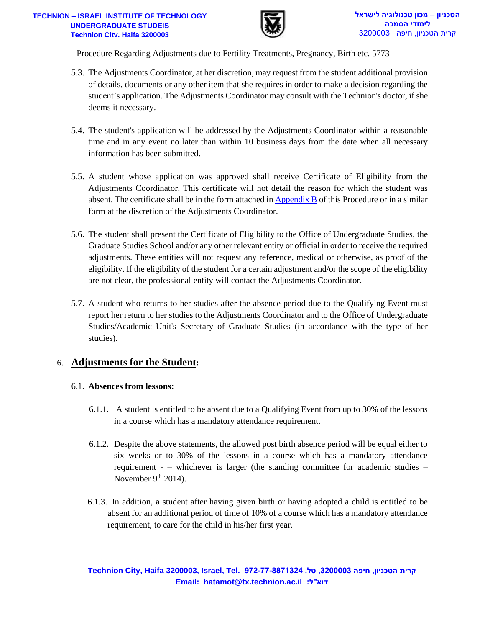

- 5.3. The Adjustments Coordinator, at her discretion, may request from the student additional provision of details, documents or any other item that she requires in order to make a decision regarding the student's application. The Adjustments Coordinator may consult with the Technion's doctor, if she deems it necessary.
- 5.4. The student's application will be addressed by the Adjustments Coordinator within a reasonable time and in any event no later than within 10 business days from the date when all necessary information has been submitted.
- 5.5. A student whose application was approved shall receive Certificate of Eligibility from the Adjustments Coordinator. This certificate will not detail the reason for which the student was absent. The certificate shall be in the form attached i[n Appendix B](#page-13-0) of this Procedure or in a similar form at the discretion of the Adjustments Coordinator.
- **EXERCTS 2008**<br> **EMBED**<br> **EMBED**<br> **EMBED**<br> **EMBED**<br> **EMBED**<br> **EMBED**<br> **EMBED**<br> **EMBED**<br> **ENDED**<br> **ENDED**<br> **ENDED**<br> **ENDED**<br> **ENDED**<br> **ENDED**<br> **ENDED**<br> **ENDED**<br> **ENDED**<br> **ENDED**<br> **ENDED**<br> **ENDED**<br> **ENDED**<br> **ENDED**<br> **ENDED**<br> 5.6. The student shall present the Certificate of Eligibility to the Office of Undergraduate Studies, the Graduate Studies School and/or any other relevant entity or official in order to receive the required adjustments. These entities will not request any reference, medical or otherwise, as proof of the eligibility. If the eligibility of the student for a certain adjustment and/or the scope of the eligibility are not clear, the professional entity will contact the Adjustments Coordinator.
- 5.7. A student who returns to her studies after the absence period due to the Qualifying Event must report her return to her studies to the Adjustments Coordinator and to the Office of Undergraduate Studies/Academic Unit's Secretary of Graduate Studies (in accordance with the type of her studies).

## 6. **Adjustments for the Student:**

#### 6.1. **Absences from lessons:**

- 6.1.1. A student is entitled to be absent due to a Qualifying Event from up to 30% of the lessons in a course which has a mandatory attendance requirement.
- 6.1.2. Despite the above statements, the allowed post birth absence period will be equal either to six weeks or to 30% of the lessons in a course which has a mandatory attendance requirement - – whichever is larger (the standing committee for academic studies – November  $9<sup>th</sup> 2014$ ).
- 6.1.3. In addition, a student after having given birth or having adopted a child is entitled to be absent for an additional period of time of 10% of a course which has a mandatory attendance requirement, to care for the child in his/her first year.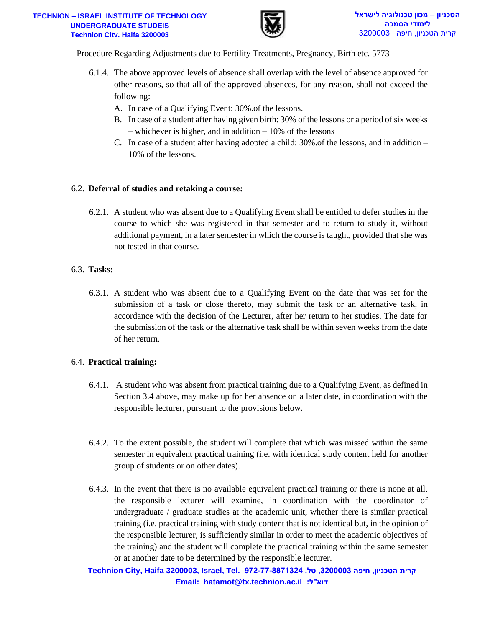

- 6.1.4. The above approved levels of absence shall overlap with the level of absence approved for other reasons, so that all of the approved absences, for any reason, shall not exceed the following:
	- A. In case of a Qualifying Event: 30%.of the lessons.
	- B. In case of a student after having given birth: 30% of the lessons or a period of six weeks – whichever is higher, and in addition – 10% of the lessons
	- C. In case of a student after having adopted a child: 30%.of the lessons, and in addition 10% of the lessons.

#### 6.2. **Deferral of studies and retaking a course:**

6.2.1. A student who was absent due to a Qualifying Event shall be entitled to defer studies in the course to which she was registered in that semester and to return to study it, without additional payment, in a later semester in which the course is taught, provided that she was not tested in that course.

#### 6.3. **Tasks:**

6.3.1. A student who was absent due to a Qualifying Event on the date that was set for the submission of a task or close thereto, may submit the task or an alternative task, in accordance with the decision of the Lecturer, after her return to her studies. The date for the submission of the task or the alternative task shall be within seven weeks from the date of her return.

#### 6.4. **Practical training:**

- 6.4.1. A student who was absent from practical training due to a Qualifying Event, as defined in Section 3.4 above, may make up for her absence on a later date, in coordination with the responsible lecturer, pursuant to the provisions below.
- 6.4.2. To the extent possible, the student will complete that which was missed within the same semester in equivalent practical training (i.e. with identical study content held for another group of students or on other dates).
- **EXERENT THE SET THE SET THE SET THE SET THE SET THE SET THE SET THE SET THE SET THE SET AND SUGRAPH (SET AT ALT AND THE SET AND THE SET AND THE SET AND THE SET AND THE SET AND THE SET AND THE SET AND THE SET AND SURFACT T** 6.4.3. In the event that there is no available equivalent practical training or there is none at all, the responsible lecturer will examine, in coordination with the coordinator of undergraduate / graduate studies at the academic unit, whether there is similar practical training (i.e. practical training with study content that is not identical but, in the opinion of the responsible lecturer, is sufficiently similar in order to meet the academic objectives of the training) and the student will complete the practical training within the same semester or at another date to be determined by the responsible lecturer.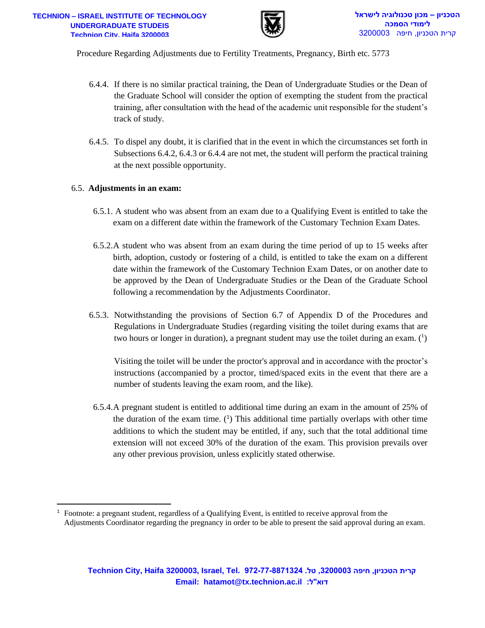

- 6.4.4. If there is no similar practical training, the Dean of Undergraduate Studies or the Dean of the Graduate School will consider the option of exempting the student from the practical training, after consultation with the head of the academic unit responsible for the student's track of study.
- 6.4.5. To dispel any doubt, it is clarified that in the event in which the circumstances set forth in Subsections 6.4.2, 6.4.3 or 6.4.4 are not met, the student will perform the practical training at the next possible opportunity.

#### 6.5. **Adjustments in an exam:**

- 6.5.1. A student who was absent from an exam due to a Qualifying Event is entitled to take the exam on a different date within the framework of the Customary Technion Exam Dates.
- 6.5.2.A student who was absent from an exam during the time period of up to 15 weeks after birth, adoption, custody or fostering of a child, is entitled to take the exam on a different date within the framework of the Customary Technion Exam Dates, or on another date to be approved by the Dean of Undergraduate Studies or the Dean of the Graduate School following a recommendation by the Adjustments Coordinator.
- 6.5.3. Notwithstanding the provisions of Section 6.7 of Appendix D of the Procedures and Regulations in Undergraduate Studies (regarding visiting the toilet during exams that are two hours or longer in duration), a pregnant student may use the toilet during an exam.  $(^1)$

Visiting the toilet will be under the proctor's approval and in accordance with the proctor's instructions (accompanied by a proctor, timed/spaced exits in the event that there are a number of students leaving the exam room, and the like).

**Email: hatamot@tx.technion.ac.il :ל"דוא –**  6.5.4.A pregnant student is entitled to additional time during an exam in the amount of 25% of the duration of the exam time.  $(1)$  This additional time partially overlaps with other time additions to which the student may be entitled, if any, such that the total additional time extension will not exceed 30% of the duration of the exam. This provision prevails over any other previous provision, unless explicitly stated otherwise.

<sup>1</sup> Footnote: a pregnant student, regardless of a Qualifying Event, is entitled to receive approval from the Adjustments Coordinator regarding the pregnancy in order to be able to present the said approval during an exam.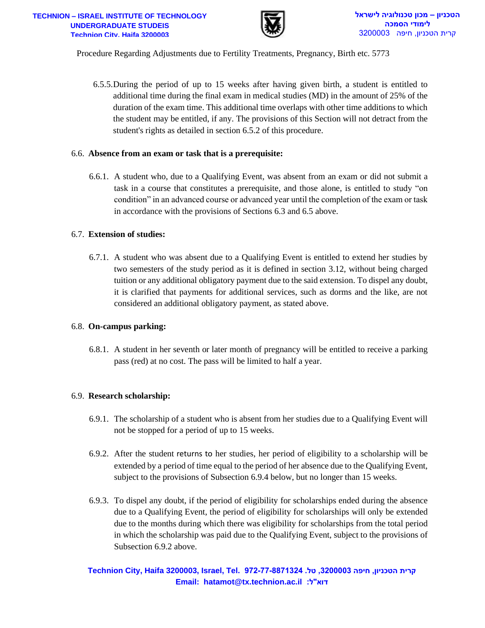

6.5.5.During the period of up to 15 weeks after having given birth, a student is entitled to additional time during the final exam in medical studies (MD) in the amount of 25% of the duration of the exam time. This additional time overlaps with other time additions to which the student may be entitled, if any. The provisions of this Section will not detract from the student's rights as detailed in section 6.5.2 of this procedure.

#### 6.6. **Absence from an exam or task that is a prerequisite:**

6.6.1. A student who, due to a Qualifying Event, was absent from an exam or did not submit a task in a course that constitutes a prerequisite, and those alone, is entitled to study "on condition" in an advanced course or advanced year until the completion of the exam or task in accordance with the provisions of Sections 6.3 and 6.5 above.

#### 6.7. **Extension of studies:**

**EXERENT PRODUCE TRANSPERSION AND A SUBATITE (FIGURE 200003 - THERMO PRODUCE AND THE STAND HOTEL AND THE STAND HOTEL AND THE STAND HOTEL AND THE STAND HOTEL AND THE STAND HOTEL INTO THE STAND HOTEL IN THE SUBARUM CONTINUES** 6.7.1. A student who was absent due to a Qualifying Event is entitled to extend her studies by two semesters of the study period as it is defined in section 3.12, without being charged tuition or any additional obligatory payment due to the said extension. To dispel any doubt, it is clarified that payments for additional services, such as dorms and the like, are not considered an additional obligatory payment, as stated above.

#### 6.8. **On-campus parking:**

6.8.1. A student in her seventh or later month of pregnancy will be entitled to receive a parking pass (red) at no cost. The pass will be limited to half a year.

#### 6.9. **Research scholarship:**

- 6.9.1. The scholarship of a student who is absent from her studies due to a Qualifying Event will not be stopped for a period of up to 15 weeks.
- 6.9.2. After the student returns to her studies, her period of eligibility to a scholarship will be extended by a period of time equal to the period of her absence due to the Qualifying Event, subject to the provisions of Subsection 6.9.4 below, but no longer than 15 weeks.
- 6.9.3. To dispel any doubt, if the period of eligibility for scholarships ended during the absence due to a Qualifying Event, the period of eligibility for scholarships will only be extended due to the months during which there was eligibility for scholarships from the total period in which the scholarship was paid due to the Qualifying Event, subject to the provisions of Subsection 6.9.2 above.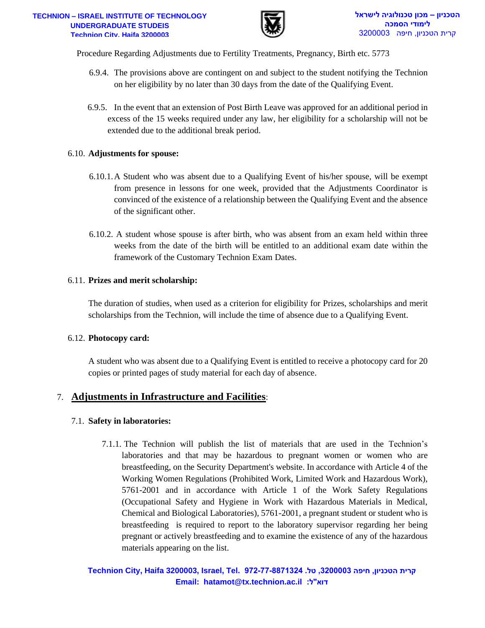

- 6.9.4. The provisions above are contingent on and subject to the student notifying the Technion on her eligibility by no later than 30 days from the date of the Qualifying Event.
- 6.9.5. In the event that an extension of Post Birth Leave was approved for an additional period in excess of the 15 weeks required under any law, her eligibility for a scholarship will not be extended due to the additional break period.

#### 6.10. **Adjustments for spouse:**

- 6.10.1.A Student who was absent due to a Qualifying Event of his/her spouse, will be exempt from presence in lessons for one week, provided that the Adjustments Coordinator is convinced of the existence of a relationship between the Qualifying Event and the absence of the significant other.
- 6.10.2. A student whose spouse is after birth, who was absent from an exam held within three weeks from the date of the birth will be entitled to an additional exam date within the framework of the Customary Technion Exam Dates.

#### 6.11. **Prizes and merit scholarship:**

The duration of studies, when used as a criterion for eligibility for Prizes, scholarships and merit scholarships from the Technion, will include the time of absence due to a Qualifying Event.

#### 6.12. **Photocopy card:**

A student who was absent due to a Qualifying Event is entitled to receive a photocopy card for 20 copies or printed pages of study material for each day of absence.

#### 7. **Adjustments in Infrastructure and Facilities**:

#### 7.1. **Safety in laboratories:**

**Email: hatamot@tx.technion.ac.il :ל"דוא –**  7.1.1. The Technion will publish the list of materials that are used in the Technion's laboratories and that may be hazardous to pregnant women or women who are breastfeeding, on the Security Department's website. In accordance with Article 4 of the Working Women Regulations (Prohibited Work, Limited Work and Hazardous Work), 5761-2001 and in accordance with Article 1 of the Work Safety Regulations (Occupational Safety and Hygiene in Work with Hazardous Materials in Medical, Chemical and Biological Laboratories), 5761-2001, a pregnant student or student who is breastfeeding is required to report to the laboratory supervisor regarding her being pregnant or actively breastfeeding and to examine the existence of any of the hazardous materials appearing on the list.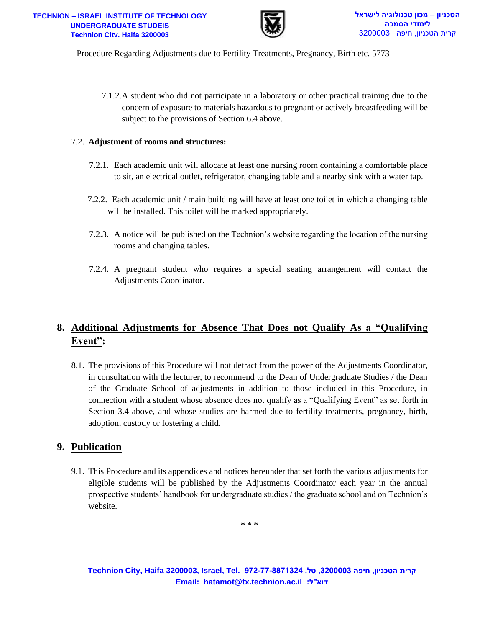

7.1.2.A student who did not participate in a laboratory or other practical training due to the concern of exposure to materials hazardous to pregnant or actively breastfeeding will be subject to the provisions of Section 6.4 above.

#### 7.2. **Adjustment of rooms and structures:**

- 7.2.1. Each academic unit will allocate at least one nursing room containing a comfortable place to sit, an electrical outlet, refrigerator, changing table and a nearby sink with a water tap.
- 7.2.2. Each academic unit / main building will have at least one toilet in which a changing table will be installed. This toilet will be marked appropriately.
- 7.2.3. A notice will be published on the Technion's website regarding the location of the nursing rooms and changing tables.
- 7.2.4. A pregnant student who requires a special seating arrangement will contact the Adjustments Coordinator.

# **8. Additional Adjustments for Absence That Does not Qualify As a "Qualifying Event":**

**EXERENT FROM THE CONSULTS AND AND AND AND AND AND THE CONSULTS AND THE UNITED STATES AND THE AUTHOL AND THE AUTHOL AND THE AUTHOL AND THE AUTHOL AND THE AUTHOR AND THE AUTHOR OF STATES OF CONSULTS OF SECTION 61 above.<br>
An** 8.1. The provisions of this Procedure will not detract from the power of the Adjustments Coordinator, in consultation with the lecturer, to recommend to the Dean of Undergraduate Studies / the Dean of the Graduate School of adjustments in addition to those included in this Procedure, in connection with a student whose absence does not qualify as a "Qualifying Event" as set forth in Section 3.4 above, and whose studies are harmed due to fertility treatments, pregnancy, birth, adoption, custody or fostering a child.

## **9. Publication**

9.1. This Procedure and its appendices and notices hereunder that set forth the various adjustments for eligible students will be published by the Adjustments Coordinator each year in the annual prospective students' handbook for undergraduate studies / the graduate school and on Technion's website.

\* \* \*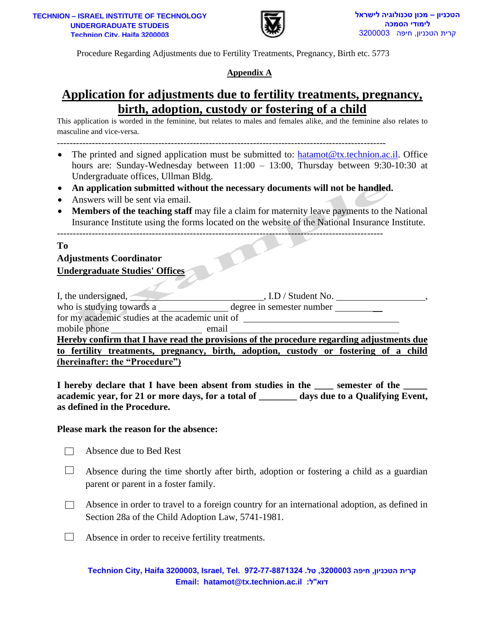

## **Appendix A**

# <span id="page-10-0"></span>**Application for adjustments due to fertility treatments, pregnancy, birth, adoption, custody or fostering of a child**

- ------------------------------------------------------------------------------------------------------- • The printed and signed application must be submitted to: [hatamot@tx.technion.ac.il.](mailto:hatamot@tx.technion.ac.il) Office hours are: Sunday-Wednesday between 11:00 – 13:00, Thursday between 9:30-10:30 at Undergraduate offices, Ullman Bldg.
- **An application submitted without the necessary documents will not be handled.**

- Answers will be sent via email.
- **Members of the teaching staff** may file a claim for maternity leave payments to the National Insurance Institute using the forms located on the website of the National Insurance Institute.

#### **To**

# **Adjustments Coordinator Undergraduate Studies' Offices**

| <u>IION – ISRAEL INSTITUTE OF TECHNOLOGY</u><br><b>UNDERGRADUATE STUDEIS</b><br>Technion City. Haifa 3200003                                                                                                                                                                                                                                                                                                                                                                                                                                                                                     | טכניון – מכון טכנולוגיה לישראל<br>לימודי הסמכה<br>קרית הטכניון, חיפה 3200003 |  |  |  |  |
|--------------------------------------------------------------------------------------------------------------------------------------------------------------------------------------------------------------------------------------------------------------------------------------------------------------------------------------------------------------------------------------------------------------------------------------------------------------------------------------------------------------------------------------------------------------------------------------------------|------------------------------------------------------------------------------|--|--|--|--|
| Procedure Regarding Adjustments due to Fertility Treatments, Pregnancy, Birth etc. 5773                                                                                                                                                                                                                                                                                                                                                                                                                                                                                                          |                                                                              |  |  |  |  |
| Appendix A                                                                                                                                                                                                                                                                                                                                                                                                                                                                                                                                                                                       |                                                                              |  |  |  |  |
| <u>Application for adjustments due to fertility treatments, pregnancy,</u>                                                                                                                                                                                                                                                                                                                                                                                                                                                                                                                       |                                                                              |  |  |  |  |
| <u>birth, adoption, custody or fostering of a child</u><br>This application is worded in the feminine, but relates to males and females alike, and the feminine also relates to<br>masculine and vice-versa.                                                                                                                                                                                                                                                                                                                                                                                     |                                                                              |  |  |  |  |
| The printed and signed application must be submitted to: hatamot@tx.technion.ac.il. Office<br>$\bullet$<br>hours are: Sunday-Wednesday between 11:00 - 13:00, Thursday between 9:30-10:30 at<br>Undergraduate offices, Ullman Bldg.<br>An application submitted without the necessary documents will not be handled.<br>$\bullet$<br>Answers will be sent via email.<br>$\bullet$<br>Members of the teaching staff may file a claim for maternity leave payments to the National<br>$\bullet$<br>Insurance Institute using the forms located on the website of the National Insurance Institute. |                                                                              |  |  |  |  |
| To<br><b>Adjustments Coordinator</b><br><b>Undergraduate Studies' Offices</b><br>who is studying towards a _______________ degree in semester number ___________<br>for my academic studies at the academic unit of ________________________________                                                                                                                                                                                                                                                                                                                                             |                                                                              |  |  |  |  |
| mobile phone<br>email                                                                                                                                                                                                                                                                                                                                                                                                                                                                                                                                                                            |                                                                              |  |  |  |  |
| Hereby confirm that I have read the provisions of the procedure regarding adjustments due<br>to fertility treatments, pregnancy, birth, adoption, custody or fostering of a child<br>(hereinafter: the "Procedure")<br>I hereby declare that I have been absent from studies in the _____ semester of the<br>academic year, for 21 or more days, for a total of ______ days due to a Qualifying Event,<br>as defined in the Procedure.                                                                                                                                                           |                                                                              |  |  |  |  |
| Please mark the reason for the absence:                                                                                                                                                                                                                                                                                                                                                                                                                                                                                                                                                          |                                                                              |  |  |  |  |
| Absence due to Bed Rest                                                                                                                                                                                                                                                                                                                                                                                                                                                                                                                                                                          |                                                                              |  |  |  |  |
| Absence during the time shortly after birth, adoption or fostering a child as a guardian<br>parent or parent in a foster family.                                                                                                                                                                                                                                                                                                                                                                                                                                                                 |                                                                              |  |  |  |  |
| Absence in order to travel to a foreign country for an international adoption, as defined in<br>Section 28a of the Child Adoption Law, 5741-1981.                                                                                                                                                                                                                                                                                                                                                                                                                                                |                                                                              |  |  |  |  |
| Absence in order to receive fertility treatments.                                                                                                                                                                                                                                                                                                                                                                                                                                                                                                                                                |                                                                              |  |  |  |  |
| קרית הטכניון, חיפה 3200003, טל. 3871324-77-8871324 ,Israel, Tel. 972-77-8871324<br>Email: hatamot@tx.technion.ac.il :דוא"ל:                                                                                                                                                                                                                                                                                                                                                                                                                                                                      |                                                                              |  |  |  |  |

#### **Please mark the reason for the absence:**

- Absence due to Bed Rest  $\Box$
- $\Box$ Absence during the time shortly after birth, adoption or fostering a child as a guardian parent or parent in a foster family.
- $\Box$ Absence in order to travel to a foreign country for an international adoption, as defined in Section 28a of the Child Adoption Law, 5741-1981.
- $\Box$ Absence in order to receive fertility treatments.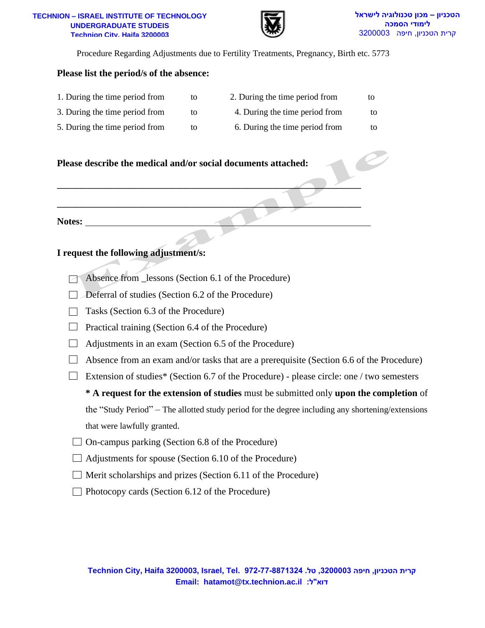#### **TECHNION – ISRAEL INSTITUTE OF TECHNOLOGY TECHNION – ISRAEL INSTITUTE OF TECHNOLOGY UNDERGRADUATE STUDEIS Technion City, Haifa 32000 Technion City, Haifa 3200003**



Procedure Regarding Adjustments due to Fertility Treatments, Pregnancy, Birth etc. 5773

#### **Please list the period/s of the absence:**

| 1. During the time period from | tΟ | 2. During the time period from | to |
|--------------------------------|----|--------------------------------|----|
| 3. During the time period from | to | 4. During the time period from | to |
| 5. During the time period from | to | 6. During the time period from | to |

#### **Please describe the medical and/or social documents attached:**



#### **I request the following adjustment/s:**

- Absence from lessons (Section 6.1 of the Procedure)
- $\Box$  Deferral of studies (Section 6.2 of the Procedure)
- $\Box$  Tasks (Section 6.3 of the Procedure)
- $\Box$  Practical training (Section 6.4 of the Procedure)
- $\Box$  Adjustments in an exam (Section 6.5 of the Procedure)
- $\Box$  Absence from an exam and/or tasks that are a prerequisite (Section 6.6 of the Procedure)
- Extension of studies\* (Section 6.7 of the Procedure) please circle: one / two semesters

**\* A request for the extension of studies** must be submitted only **upon the completion** of the "Study Period" – The allotted study period for the degree including any shortening/extensions that were lawfully granted.

- $\Box$  On-campus parking (Section 6.8 of the Procedure)
- $\Box$  Adjustments for spouse (Section 6.10 of the Procedure)
- $\Box$  Merit scholarships and prizes (Section 6.11 of the Procedure)
- $\Box$  Photocopy cards (Section 6.12 of the Procedure)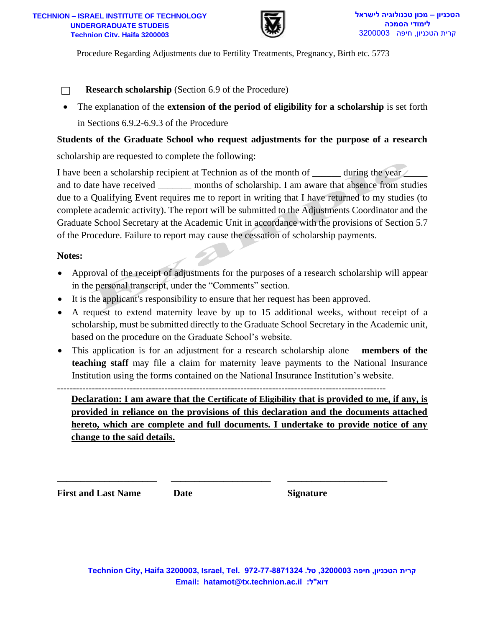

**Research scholarship** (Section 6.9 of the Procedure)  $\Box$ 

• The explanation of the **extension of the period of eligibility for a scholarship** is set forth in Sections 6.9.2-6.9.3 of the Procedure

#### **Students of the Graduate School who request adjustments for the purpose of a research**

scholarship are requested to complete the following:

**EXERECTS 2008 1031**<br> **EMALURE 200803 EDRATED CONSIDERATION**<br> **EMALURE 200803 EMALURE 200803 EMALURE 200803 EMALURE 200803 EMALURE 200803 EMALURE 200803 EMALURE 200803 EMALURE 200803 CONSIDE 20081 CONSI** I have been a scholarship recipient at Technion as of the month of during the year  $\angle$ and to date have received months of scholarship. I am aware that absence from studies due to a Qualifying Event requires me to report in writing that I have returned to my studies (to complete academic activity). The report will be submitted to the Adjustments Coordinator and the Graduate School Secretary at the Academic Unit in accordance with the provisions of Section 5.7 of the Procedure. Failure to report may cause the cessation of scholarship payments.

#### **Notes:**

- Approval of the receipt of adjustments for the purposes of a research scholarship will appear in the personal transcript, under the "Comments" section.
- It is the applicant's responsibility to ensure that her request has been approved.
- A request to extend maternity leave by up to 15 additional weeks, without receipt of a scholarship, must be submitted directly to the Graduate School Secretary in the Academic unit, based on the procedure on the Graduate School's website.
- This application is for an adjustment for a research scholarship alone **members of the teaching staff** may file a claim for maternity leave payments to the National Insurance Institution using the forms contained on the National Insurance Institution's website.

--------------------------------------------------------------------------------------------------------

**\_\_\_\_\_\_\_\_\_\_\_\_\_\_\_\_\_\_\_\_\_ \_\_\_\_\_\_\_\_\_\_\_\_\_\_\_\_\_\_\_\_\_ \_\_\_\_\_\_\_\_\_\_\_\_\_\_\_\_\_\_\_\_\_**

**Declaration: I am aware that the Certificate of Eligibility that is provided to me, if any, is provided in reliance on the provisions of this declaration and the documents attached hereto, which are complete and full documents. I undertake to provide notice of any change to the said details.**

**First and Last Name Date Signature**